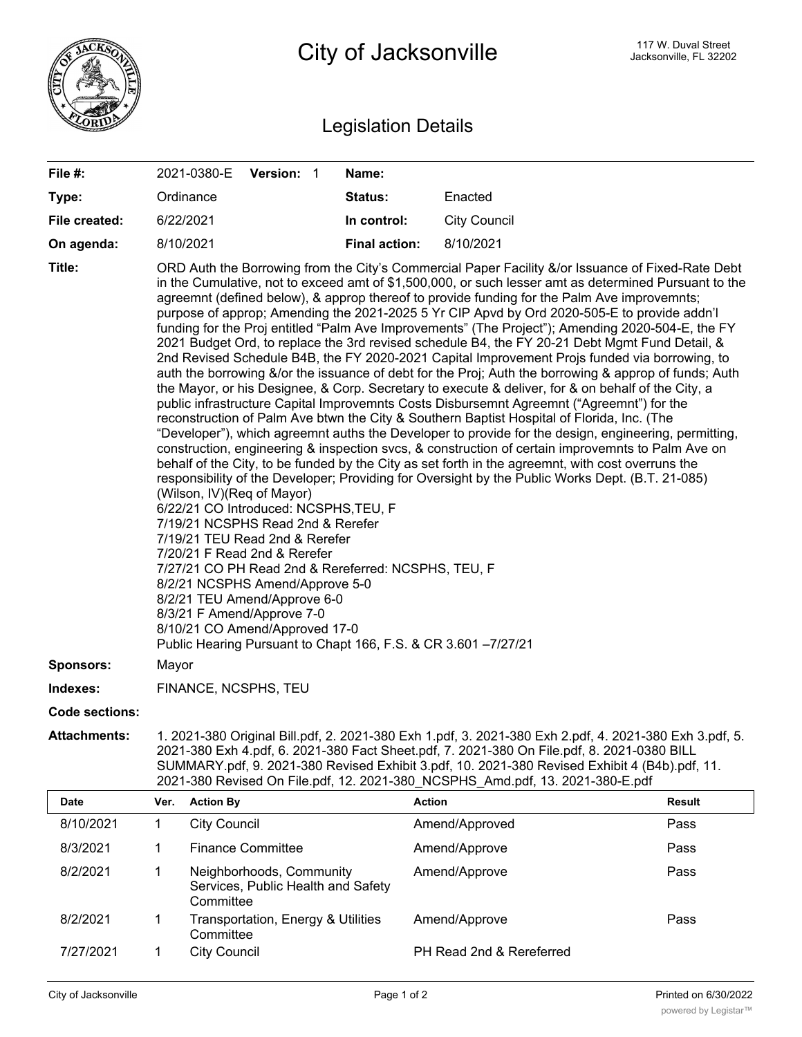

## Legislation Details

| File #:               |                                                                                                                                                                                                                                                                                                                                                                                                                                                                                                                                                                                                                                                                                                                                                                                                                                                                                                                                                                                                                                                                                                                                                                                                                                                                                                                                                                                                                                                                                                                                                                                                                                                                                                                                                                                                                                                                                                                                                                                            |                     | 2021-0380-E Version: 1                                         |  | Name:                |                          |               |  |
|-----------------------|--------------------------------------------------------------------------------------------------------------------------------------------------------------------------------------------------------------------------------------------------------------------------------------------------------------------------------------------------------------------------------------------------------------------------------------------------------------------------------------------------------------------------------------------------------------------------------------------------------------------------------------------------------------------------------------------------------------------------------------------------------------------------------------------------------------------------------------------------------------------------------------------------------------------------------------------------------------------------------------------------------------------------------------------------------------------------------------------------------------------------------------------------------------------------------------------------------------------------------------------------------------------------------------------------------------------------------------------------------------------------------------------------------------------------------------------------------------------------------------------------------------------------------------------------------------------------------------------------------------------------------------------------------------------------------------------------------------------------------------------------------------------------------------------------------------------------------------------------------------------------------------------------------------------------------------------------------------------------------------------|---------------------|----------------------------------------------------------------|--|----------------------|--------------------------|---------------|--|
| Type:                 |                                                                                                                                                                                                                                                                                                                                                                                                                                                                                                                                                                                                                                                                                                                                                                                                                                                                                                                                                                                                                                                                                                                                                                                                                                                                                                                                                                                                                                                                                                                                                                                                                                                                                                                                                                                                                                                                                                                                                                                            | Ordinance           |                                                                |  | Status:              | Enacted                  |               |  |
| File created:         |                                                                                                                                                                                                                                                                                                                                                                                                                                                                                                                                                                                                                                                                                                                                                                                                                                                                                                                                                                                                                                                                                                                                                                                                                                                                                                                                                                                                                                                                                                                                                                                                                                                                                                                                                                                                                                                                                                                                                                                            | 6/22/2021           |                                                                |  | In control:          | <b>City Council</b>      |               |  |
| On agenda:            |                                                                                                                                                                                                                                                                                                                                                                                                                                                                                                                                                                                                                                                                                                                                                                                                                                                                                                                                                                                                                                                                                                                                                                                                                                                                                                                                                                                                                                                                                                                                                                                                                                                                                                                                                                                                                                                                                                                                                                                            | 8/10/2021           |                                                                |  | <b>Final action:</b> | 8/10/2021                |               |  |
| Title:                | ORD Auth the Borrowing from the City's Commercial Paper Facility &/or Issuance of Fixed-Rate Debt<br>in the Cumulative, not to exceed amt of \$1,500,000, or such lesser amt as determined Pursuant to the<br>agreemnt (defined below), & approp thereof to provide funding for the Palm Ave improvemnts;<br>purpose of approp; Amending the 2021-2025 5 Yr CIP Apvd by Ord 2020-505-E to provide addn'l<br>funding for the Proj entitled "Palm Ave Improvements" (The Project"); Amending 2020-504-E, the FY<br>2021 Budget Ord, to replace the 3rd revised schedule B4, the FY 20-21 Debt Mgmt Fund Detail, &<br>2nd Revised Schedule B4B, the FY 2020-2021 Capital Improvement Projs funded via borrowing, to<br>auth the borrowing &/or the issuance of debt for the Proj; Auth the borrowing & approp of funds; Auth<br>the Mayor, or his Designee, & Corp. Secretary to execute & deliver, for & on behalf of the City, a<br>public infrastructure Capital Improvemnts Costs Disbursemnt Agreemnt ("Agreemnt") for the<br>reconstruction of Palm Ave btwn the City & Southern Baptist Hospital of Florida, Inc. (The<br>"Developer"), which agreemnt auths the Developer to provide for the design, engineering, permitting,<br>construction, engineering & inspection svcs, & construction of certain improvemnts to Palm Ave on<br>behalf of the City, to be funded by the City as set forth in the agreemnt, with cost overruns the<br>responsibility of the Developer; Providing for Oversight by the Public Works Dept. (B.T. 21-085)<br>(Wilson, IV)(Req of Mayor)<br>6/22/21 CO Introduced: NCSPHS, TEU, F<br>7/19/21 NCSPHS Read 2nd & Rerefer<br>7/19/21 TEU Read 2nd & Rerefer<br>7/20/21 F Read 2nd & Rerefer<br>7/27/21 CO PH Read 2nd & Rereferred: NCSPHS, TEU, F<br>8/2/21 NCSPHS Amend/Approve 5-0<br>8/2/21 TEU Amend/Approve 6-0<br>8/3/21 F Amend/Approve 7-0<br>8/10/21 CO Amend/Approved 17-0<br>Public Hearing Pursuant to Chapt 166, F.S. & CR 3.601 -7/27/21 |                     |                                                                |  |                      |                          |               |  |
| <b>Sponsors:</b>      | Mayor                                                                                                                                                                                                                                                                                                                                                                                                                                                                                                                                                                                                                                                                                                                                                                                                                                                                                                                                                                                                                                                                                                                                                                                                                                                                                                                                                                                                                                                                                                                                                                                                                                                                                                                                                                                                                                                                                                                                                                                      |                     |                                                                |  |                      |                          |               |  |
| Indexes:              | FINANCE, NCSPHS, TEU                                                                                                                                                                                                                                                                                                                                                                                                                                                                                                                                                                                                                                                                                                                                                                                                                                                                                                                                                                                                                                                                                                                                                                                                                                                                                                                                                                                                                                                                                                                                                                                                                                                                                                                                                                                                                                                                                                                                                                       |                     |                                                                |  |                      |                          |               |  |
| <b>Code sections:</b> |                                                                                                                                                                                                                                                                                                                                                                                                                                                                                                                                                                                                                                                                                                                                                                                                                                                                                                                                                                                                                                                                                                                                                                                                                                                                                                                                                                                                                                                                                                                                                                                                                                                                                                                                                                                                                                                                                                                                                                                            |                     |                                                                |  |                      |                          |               |  |
| <b>Attachments:</b>   | 1. 2021-380 Original Bill.pdf, 2. 2021-380 Exh 1.pdf, 3. 2021-380 Exh 2.pdf, 4. 2021-380 Exh 3.pdf, 5.<br>2021-380 Exh 4.pdf, 6. 2021-380 Fact Sheet.pdf, 7. 2021-380 On File.pdf, 8. 2021-0380 BILL<br>SUMMARY.pdf, 9. 2021-380 Revised Exhibit 3.pdf, 10. 2021-380 Revised Exhibit 4 (B4b).pdf, 11.<br>2021-380 Revised On File.pdf, 12. 2021-380 NCSPHS_Amd.pdf, 13. 2021-380-E.pdf                                                                                                                                                                                                                                                                                                                                                                                                                                                                                                                                                                                                                                                                                                                                                                                                                                                                                                                                                                                                                                                                                                                                                                                                                                                                                                                                                                                                                                                                                                                                                                                                     |                     |                                                                |  |                      |                          |               |  |
| Date                  | Ver.                                                                                                                                                                                                                                                                                                                                                                                                                                                                                                                                                                                                                                                                                                                                                                                                                                                                                                                                                                                                                                                                                                                                                                                                                                                                                                                                                                                                                                                                                                                                                                                                                                                                                                                                                                                                                                                                                                                                                                                       | <b>Action By</b>    |                                                                |  |                      | <b>Action</b>            | <b>Result</b> |  |
| 8/10/2021             | 1                                                                                                                                                                                                                                                                                                                                                                                                                                                                                                                                                                                                                                                                                                                                                                                                                                                                                                                                                                                                                                                                                                                                                                                                                                                                                                                                                                                                                                                                                                                                                                                                                                                                                                                                                                                                                                                                                                                                                                                          | <b>City Council</b> |                                                                |  |                      | Amend/Approved           | Pass          |  |
| 8/3/2021              | 1                                                                                                                                                                                                                                                                                                                                                                                                                                                                                                                                                                                                                                                                                                                                                                                                                                                                                                                                                                                                                                                                                                                                                                                                                                                                                                                                                                                                                                                                                                                                                                                                                                                                                                                                                                                                                                                                                                                                                                                          |                     | <b>Finance Committee</b>                                       |  |                      | Amend/Approve            | Pass          |  |
| 8/2/2021              | 1                                                                                                                                                                                                                                                                                                                                                                                                                                                                                                                                                                                                                                                                                                                                                                                                                                                                                                                                                                                                                                                                                                                                                                                                                                                                                                                                                                                                                                                                                                                                                                                                                                                                                                                                                                                                                                                                                                                                                                                          | Committee           | Neighborhoods, Community<br>Services, Public Health and Safety |  |                      | Amend/Approve            | Pass          |  |
| 8/2/2021              | 1                                                                                                                                                                                                                                                                                                                                                                                                                                                                                                                                                                                                                                                                                                                                                                                                                                                                                                                                                                                                                                                                                                                                                                                                                                                                                                                                                                                                                                                                                                                                                                                                                                                                                                                                                                                                                                                                                                                                                                                          | Committee           | Transportation, Energy & Utilities                             |  |                      | Amend/Approve            | Pass          |  |
| 7/27/2021             | 1                                                                                                                                                                                                                                                                                                                                                                                                                                                                                                                                                                                                                                                                                                                                                                                                                                                                                                                                                                                                                                                                                                                                                                                                                                                                                                                                                                                                                                                                                                                                                                                                                                                                                                                                                                                                                                                                                                                                                                                          | <b>City Council</b> |                                                                |  |                      | PH Read 2nd & Rereferred |               |  |